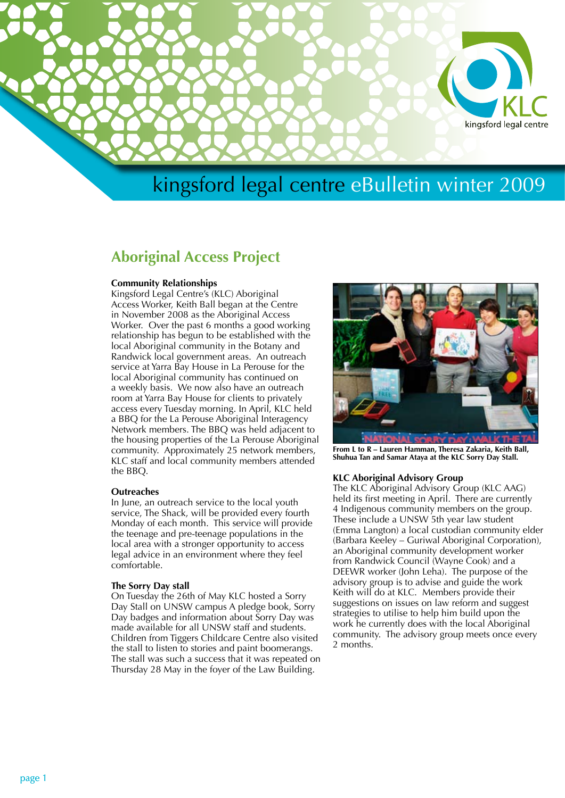

## **Aboriginal Access Project**

### **Community Relationships**

Kingsford Legal Centre's (KLC) Aboriginal Access Worker, Keith Ball began at the Centre in November 2008 as the Aboriginal Access Worker. Over the past 6 months a good working relationship has begun to be established with the local Aboriginal community in the Botany and Randwick local government areas. An outreach service at Yarra Bay House in La Perouse for the local Aboriginal community has continued on a weekly basis. We now also have an outreach room at Yarra Bay House for clients to privately access every Tuesday morning. In April, KLC held a BBQ for the La Perouse Aboriginal Interagency Network members. The BBQ was held adjacent to the housing properties of the La Perouse Aboriginal community. Approximately 25 network members, KLC staff and local community members attended the BBQ.

### **Outreaches**

In June, an outreach service to the local youth service, The Shack, will be provided every fourth Monday of each month. This service will provide the teenage and pre-teenage populations in the local area with a stronger opportunity to access legal advice in an environment where they feel comfortable.

#### **The Sorry Day stall**

On Tuesday the 26th of May KLC hosted a Sorry Day Stall on UNSW campus A pledge book, Sorry Day badges and information about Sorry Day was made available for all UNSW staff and students. Children from Tiggers Childcare Centre also visited the stall to listen to stories and paint boomerangs. The stall was such a success that it was repeated on Thursday 28 May in the foyer of the Law Building.



**From L to R – Lauren Hamman, Theresa Zakaria, Keith Ball, Shuhua Tan and Samar Ataya at the KLC Sorry Day Stall.**

### **KLC Aboriginal Advisory Group**

The KLC Aboriginal Advisory Group (KLC AAG) held its first meeting in April. There are currently 4 Indigenous community members on the group. These include a UNSW 5th year law student (Emma Langton) a local custodian community elder (Barbara Keeley – Guriwal Aboriginal Corporation), an Aboriginal community development worker from Randwick Council (Wayne Cook) and a DEEWR worker (John Leha). The purpose of the advisory group is to advise and guide the work Keith will do at KLC. Members provide their suggestions on issues on law reform and suggest strategies to utilise to help him build upon the work he currently does with the local Aboriginal community. The advisory group meets once every 2 months.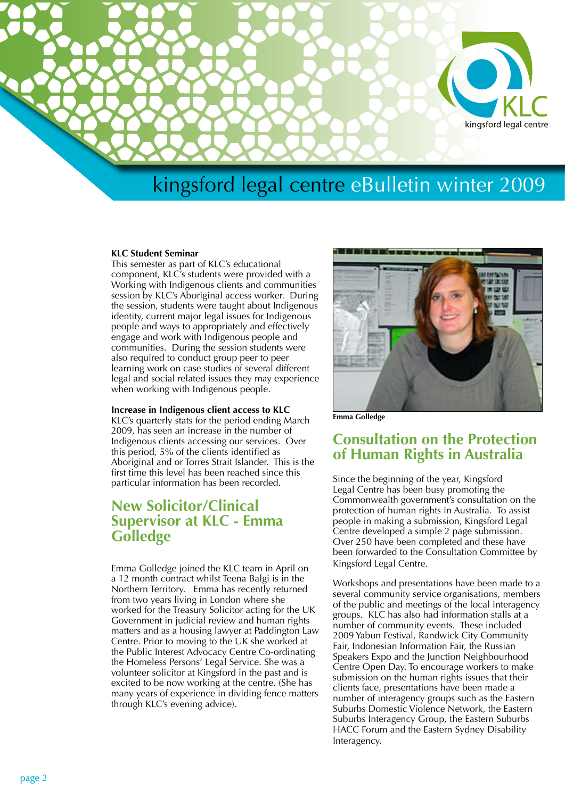

### **KLC Student Seminar**

This semester as part of KLC's educational component, KLC's students were provided with a Working with Indigenous clients and communities session by KLC's Aboriginal access worker. During the session, students were taught about Indigenous identity, current major legal issues for Indigenous people and ways to appropriately and effectively engage and work with Indigenous people and communities. During the session students were also required to conduct group peer to peer learning work on case studies of several different legal and social related issues they may experience when working with Indigenous people.

### **Increase in Indigenous client access to KLC**

KLC's quarterly stats for the period ending March 2009, has seen an increase in the number of Indigenous clients accessing our services. Over this period, 5% of the clients identified as Aboriginal and or Torres Strait Islander. This is the first time this level has been reached since this particular information has been recorded.

## **New Solicitor/Clinical Supervisor at KLC - Emma Golledge**

Emma Golledge joined the KLC team in April on a 12 month contract whilst Teena Balgi is in the Northern Territory. Emma has recently returned from two years living in London where she worked for the Treasury Solicitor acting for the UK Government in judicial review and human rights matters and as a housing lawyer at Paddington Law Centre. Prior to moving to the UK she worked at the Public Interest Advocacy Centre Co-ordinating the Homeless Persons' Legal Service. She was a volunteer solicitor at Kingsford in the past and is excited to be now working at the centre. (She has many years of experience in dividing fence matters through KLC's evening advice).



**Emma Golledge**

## **Consultation on the Protection of Human Rights in Australia**

Since the beginning of the year, Kingsford Legal Centre has been busy promoting the Commonwealth government's consultation on the protection of human rights in Australia. To assist people in making a submission, Kingsford Legal Centre developed a simple 2 page submission. Over 250 have been completed and these have been forwarded to the Consultation Committee by Kingsford Legal Centre.

Workshops and presentations have been made to a several community service organisations, members of the public and meetings of the local interagency groups. KLC has also had information stalls at a number of community events. These included 2009 Yabun Festival, Randwick City Community Fair, Indonesian Information Fair, the Russian Speakers Expo and the Junction Neighbourhood Centre Open Day. To encourage workers to make submission on the human rights issues that their clients face, presentations have been made a number of interagency groups such as the Eastern Suburbs Domestic Violence Network, the Eastern Suburbs Interagency Group, the Eastern Suburbs HACC Forum and the Eastern Sydney Disability Interagency.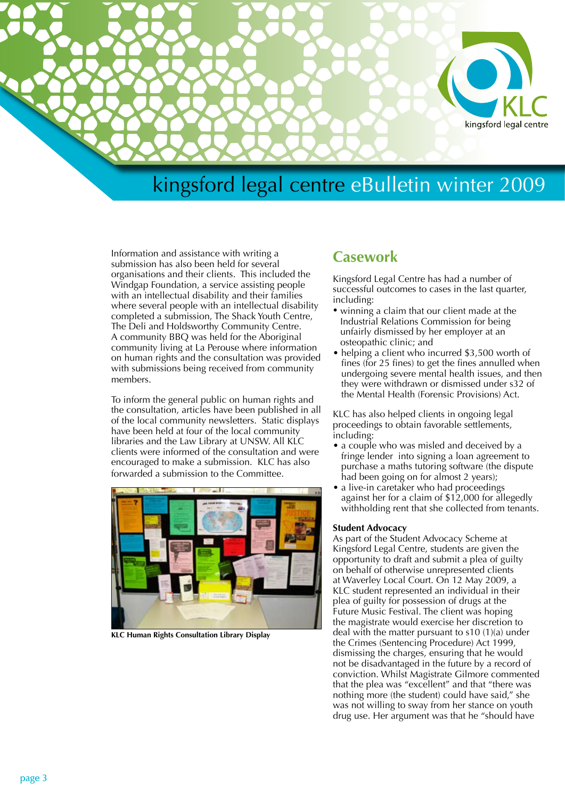

Information and assistance with writing a submission has also been held for several organisations and their clients. This included the Windgap Foundation, a service assisting people with an intellectual disability and their families where several people with an intellectual disability completed a submission, The Shack Youth Centre, The Deli and Holdsworthy Community Centre. A community BBQ was held for the Aboriginal community living at La Perouse where information on human rights and the consultation was provided with submissions being received from community members.

To inform the general public on human rights and the consultation, articles have been published in all of the local community newsletters. Static displays have been held at four of the local community libraries and the Law Library at UNSW. All KLC clients were informed of the consultation and were encouraged to make a submission. KLC has also forwarded a submission to the Committee.



**KLC Human Rights Consultation Library Display**

## **Casework**

Kingsford Legal Centre has had a number of successful outcomes to cases in the last quarter, including:

- winning a claim that our client made at the Industrial Relations Commission for being unfairly dismissed by her employer at an osteopathic clinic; and
- helping a client who incurred \$3,500 worth of fines (for 25 fines) to get the fines annulled when undergoing severe mental health issues, and then they were withdrawn or dismissed under s32 of the Mental Health (Forensic Provisions) Act.

KLC has also helped clients in ongoing legal proceedings to obtain favorable settlements, including:

- a couple who was misled and deceived by a fringe lender into signing a loan agreement to purchase a maths tutoring software (the dispute had been going on for almost 2 years);
- a live-in caretaker who had proceedings against her for a claim of \$12,000 for allegedly withholding rent that she collected from tenants.

### **Student Advocacy**

As part of the Student Advocacy Scheme at Kingsford Legal Centre, students are given the opportunity to draft and submit a plea of guilty on behalf of otherwise unrepresented clients at Waverley Local Court. On 12 May 2009, a KLC student represented an individual in their plea of guilty for possession of drugs at the Future Music Festival. The client was hoping the magistrate would exercise her discretion to deal with the matter pursuant to s10 (1)(a) under the Crimes (Sentencing Procedure) Act 1999, dismissing the charges, ensuring that he would not be disadvantaged in the future by a record of conviction. Whilst Magistrate Gilmore commented that the plea was "excellent" and that "there was nothing more (the student) could have said," she was not willing to sway from her stance on youth drug use. Her argument was that he "should have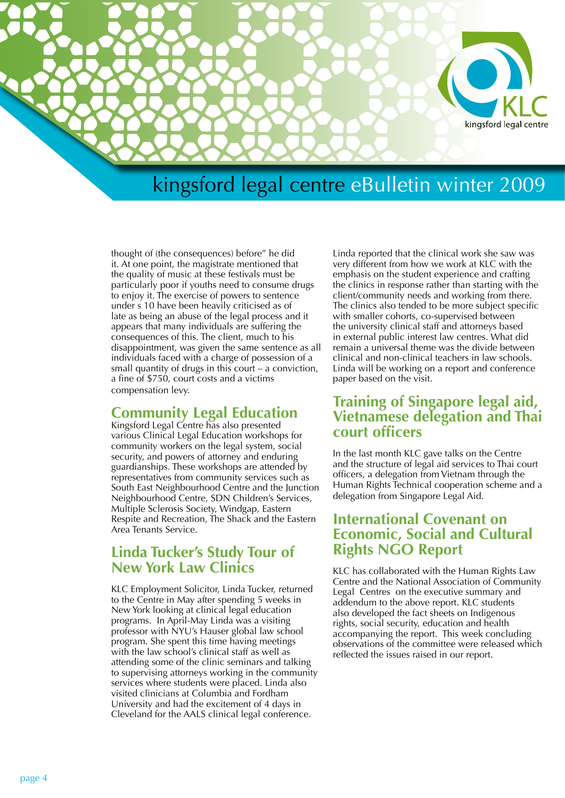

thought of (the consequences) before" he did it. At one point, the magistrate mentioned that the quality of music at these festivals must be particularly poor if youths need to consume drugs to enjoy it. The exercise of powers to sentence under s 10 have been heavily criticised as of late as being an abuse of the legal process and it appears that many individuals are suffering the consequences of this. The client, much to his disappointment, was given the same sentence as all individuals faced with a charge of possession of a small quantity of drugs in this court – a conviction, a fine of \$750, court costs and a victims compensation levy.

## **Community Legal Education**

Kingsford Legal Centre has also presented various Clinical Legal Education workshops for community workers on the legal system, social security, and powers of attorney and enduring guardianships. These workshops are attended by representatives from community services such as South East Neighbourhood Centre and the Junction Neighbourhood Centre, SDN Children's Services, Multiple Sclerosis Society, Windgap, Eastern Respite and Recreation, The Shack and the Eastern Area Tenants Service.

## **Linda Tucker's Study Tour of New York Law Clinics**

KLC Employment Solicitor, Linda Tucker, returned to the Centre in May after spending 5 weeks in New York looking at clinical legal education programs. In April-May Linda was a visiting professor with NYU's Hauser global law school program. She spent this time having meetings with the law school's clinical staff as well as attending some of the clinic seminars and talking to supervising attorneys working in the community services where students were placed. Linda also visited clinicians at Columbia and Fordham University and had the excitement of 4 days in Cleveland for the AALS clinical legal conference.

Linda reported that the clinical work she saw was very different from how we work at KLC with the emphasis on the student experience and crafting the clinics in response rather than starting with the client/community needs and working from there. The clinics also tended to be more subject specific with smaller cohorts, co-supervised between the university clinical staff and attorneys based in external public interest law centres. What did remain a universal theme was the divide between clinical and non-clinical teachers in law schools. Linda will be working on a report and conference paper based on the visit.

## **Training of Singapore legal aid, Vietnamese delegation and Thai court officers**

In the last month KLC gave talks on the Centre and the structure of legal aid services to Thai court officers, a delegation from Vietnam through the Human Rights Technical cooperation scheme and a delegation from Singapore Legal Aid.

## **International Covenant on Economic, Social and Cultural Rights NGO Report**

KLC has collaborated with the Human Rights Law Centre and the National Association of Community Legal Centres on the executive summary and addendum to the above report. KLC students also developed the fact sheets on Indigenous rights, social security, education and health accompanying the report. This week concluding observations of the committee were released which reflected the issues raised in our report.